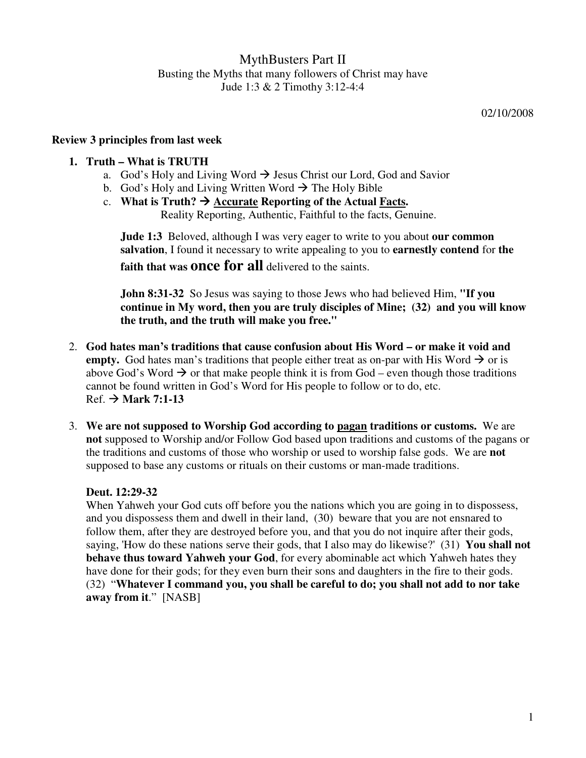MythBusters Part II Busting the Myths that many followers of Christ may have Jude 1:3 & 2 Timothy 3:12-4:4

02/10/2008

# **Review 3 principles from last week**

## **1. Truth – What is TRUTH**

- a. God's Holy and Living Word  $\rightarrow$  Jesus Christ our Lord, God and Savior
- b. God's Holy and Living Written Word  $\rightarrow$  The Holy Bible
- c. **What is Truth?**  $\rightarrow$  Accurate Reporting of the Actual Facts. Reality Reporting, Authentic, Faithful to the facts, Genuine.

**Jude 1:3** Beloved, although I was very eager to write to you about **our common salvation**, I found it necessary to write appealing to you to **earnestly contend** for **the faith that was once for all** delivered to the saints.

**John 8:31-32** So Jesus was saying to those Jews who had believed Him, **"If you continue in My word, then you are truly disciples of Mine; (32) and you will know the truth, and the truth will make you free."**

- 2. **God hates man's traditions that cause confusion about His Word or make it void and empty.** God hates man's traditions that people either treat as on-par with His Word  $\rightarrow$  or is above God's Word  $\rightarrow$  or that make people think it is from God – even though those traditions cannot be found written in God's Word for His people to follow or to do, etc.  $Ref. \rightarrow$  Mark 7:1-13
- 3. **We are not supposed to Worship God according to pagan traditions or customs.** We are **not** supposed to Worship and/or Follow God based upon traditions and customs of the pagans or the traditions and customs of those who worship or used to worship false gods. We are **not** supposed to base any customs or rituals on their customs or man-made traditions.

### **Deut. 12:29-32**

When Yahweh your God cuts off before you the nations which you are going in to dispossess, and you dispossess them and dwell in their land, (30) beware that you are not ensnared to follow them, after they are destroyed before you, and that you do not inquire after their gods, saying, 'How do these nations serve their gods, that I also may do likewise?' (31) **You shall not behave thus toward Yahweh your God**, for every abominable act which Yahweh hates they have done for their gods; for they even burn their sons and daughters in the fire to their gods. (32) "**Whatever I command you, you shall be careful to do; you shall not add to nor take away from it**." [NASB]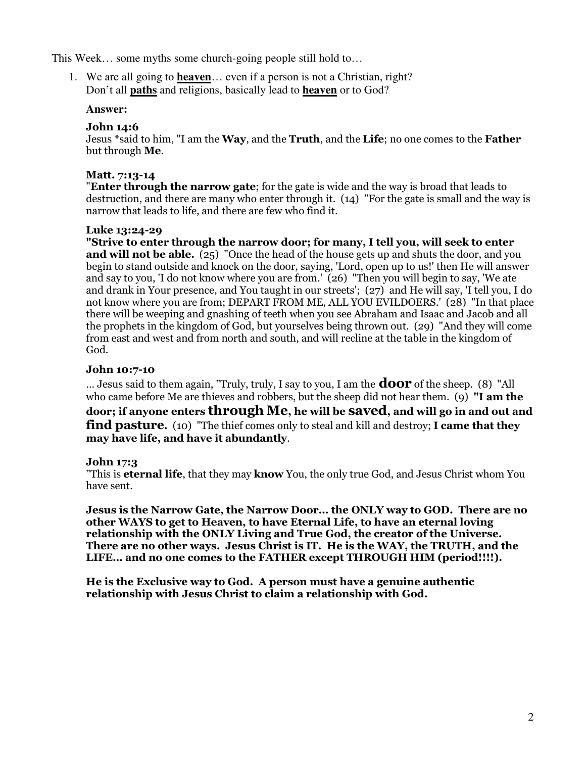This Week… some myths some church-going people still hold to…

1. We are all going to **heaven**… even if a person is not a Christian, right? Don't all **paths** and religions, basically lead to **heaven** or to God?

#### **Answer:**

### John 14:6

Jesus \*said to him, "I am the **Way**, and the **Truth**, and the Life; no one comes to the **Father** but through Me.

### Matt. 7:13-14

**"Enter through the narrow gate:** for the gate is wide and the way is broad that leads to destruction, and there are many who enter through it. (14) "For the gate is small and the way is narrow that leads to life, and there are few who find it.

#### Luke 13:24-29

"Strive to enter through the narrow door; for many, I tell you, will seek to enter and will not be able.  $(25)$  "Once the head of the house gets up and shuts the door, and you begin to stand outside and knock on the door, saying, 'Lord, open up to us!' then He will answer and say to you, 'I do not know where you are from.' (26) "Then you will begin to say, 'We ate and drank in Your presence, and You taught in our streets'; (27) and He will say, 'I tell you, I do not know where you are from; DEPART FROM ME, ALL YOU EVILDOERS.' (28) "In that place there will be weeping and gnashing of teeth when you see Abraham and Isaac and Jacob and all the prophets in the kingdom of God, but yourselves being thrown out. (29) "And they will come from east and west and from north and south, and will recline at the table in the kingdom of God.

### John 10:7-10

... Jesus said to them again, "Truly, truly, I say to you, I am the **door** of the sheep. (8) "All who came before Me are thieves and robbers, but the sheep did not hear them. (9) "I am the door; if anyone enters through Me, he will be saved, and will go in and out and **find pasture.** (10) "The thief comes only to steal and kill and destroy; I came that they may have life, and have it abundantly.

#### John 17:3

"This is **eternal life**, that they may **know** You, the only true God, and Jesus Christ whom You have sent.

Jesus is the Narrow Gate, the Narrow Door… the ONLY way to GOD. There are no other WAYS to get to Heaven, to have Eternal Life, to have an eternal loving relationship with the ONLY Living and True God, the creator of the Universe. There are no other ways. Jesus Christ is IT. He is the WAY, the TRUTH, and the LIFE… and no one comes to the FATHER except THROUGH HIM (period!!!!).

He is the Exclusive way to God. A person must have a genuine authentic relationship with Jesus Christ to claim a relationship with God.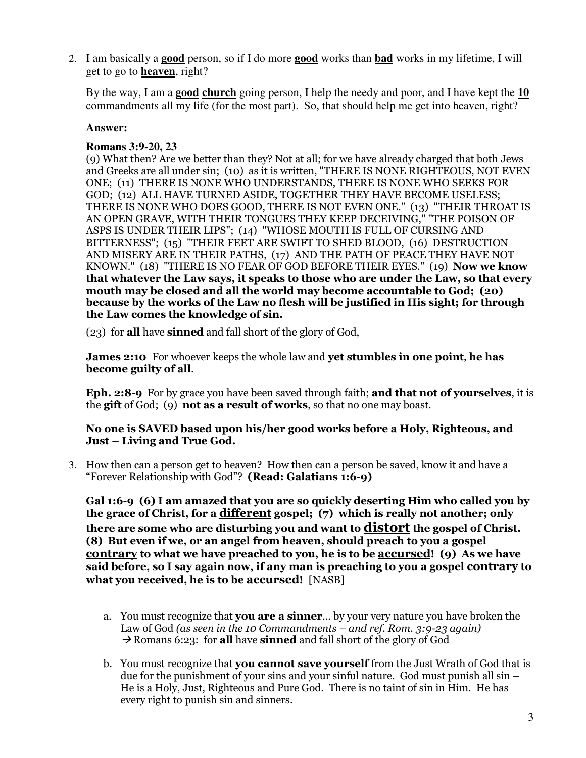2. I am basically a **good** person, so if I do more **good** works than **bad** works in my lifetime, I will get to go to **heaven**, right?

By the way, I am a **good church** going person, I help the needy and poor, and I have kept the **10** commandments all my life (for the most part). So, that should help me get into heaven, right?

## **Answer:**

# **Romans 3:9-20, 23**

(9) What then? Are we better than they? Not at all; for we have already charged that both Jews and Greeks are all under sin; (10) as it is written, "THERE IS NONE RIGHTEOUS, NOT EVEN ONE; (11) THERE IS NONE WHO UNDERSTANDS, THERE IS NONE WHO SEEKS FOR GOD; (12) ALL HAVE TURNED ASIDE, TOGETHER THEY HAVE BECOME USELESS; THERE IS NONE WHO DOES GOOD, THERE IS NOT EVEN ONE." (13) "THEIR THROAT IS AN OPEN GRAVE, WITH THEIR TONGUES THEY KEEP DECEIVING," "THE POISON OF ASPS IS UNDER THEIR LIPS"; (14) "WHOSE MOUTH IS FULL OF CURSING AND BITTERNESS"; (15) "THEIR FEET ARE SWIFT TO SHED BLOOD, (16) DESTRUCTION AND MISERY ARE IN THEIR PATHS, (17) AND THE PATH OF PEACE THEY HAVE NOT KNOWN." (18) "THERE IS NO FEAR OF GOD BEFORE THEIR EYES." (19) Now we know that whatever the Law says, it speaks to those who are under the Law, so that every mouth may be closed and all the world may become accountable to God; (20) because by the works of the Law no flesh will be justified in His sight; for through the Law comes the knowledge of sin.

(23) for all have sinned and fall short of the glory of God,

James 2:10 For whoever keeps the whole law and yet stumbles in one point, he has become guilty of all.

Eph. 2:8-9 For by grace you have been saved through faith; and that not of yourselves, it is the gift of God; (9) not as a result of works, so that no one may boast.

#### No one is SAVED based upon his/her good works before a Holy, Righteous, and Just – Living and True God.

3. How then can a person get to heaven? How then can a person be saved, know it and have a "Forever Relationship with God"? (Read: Galatians 1:6-9)

Gal 1:6-9 (6) I am amazed that you are so quickly deserting Him who called you by the grace of Christ, for a different gospel; (7) which is really not another; only there are some who are disturbing you and want to **distort** the gospel of Christ. (8) But even if we, or an angel from heaven, should preach to you a gospel contrary to what we have preached to you, he is to be accursed! (9) As we have said before, so I say again now, if any man is preaching to you a gospel contrary to what you received, he is to be **accursed!** [NASB]

- a. You must recognize that **you are a sinner**... by your very nature you have broken the Law of God (as seen in the 10 Commandments – and ref. Rom. 3:9-23 again)  $\rightarrow$  Romans 6:23: for all have sinned and fall short of the glory of God
- b. You must recognize that you cannot save yourself from the Just Wrath of God that is due for the punishment of your sins and your sinful nature. God must punish all sin – He is a Holy, Just, Righteous and Pure God. There is no taint of sin in Him. He has every right to punish sin and sinners.